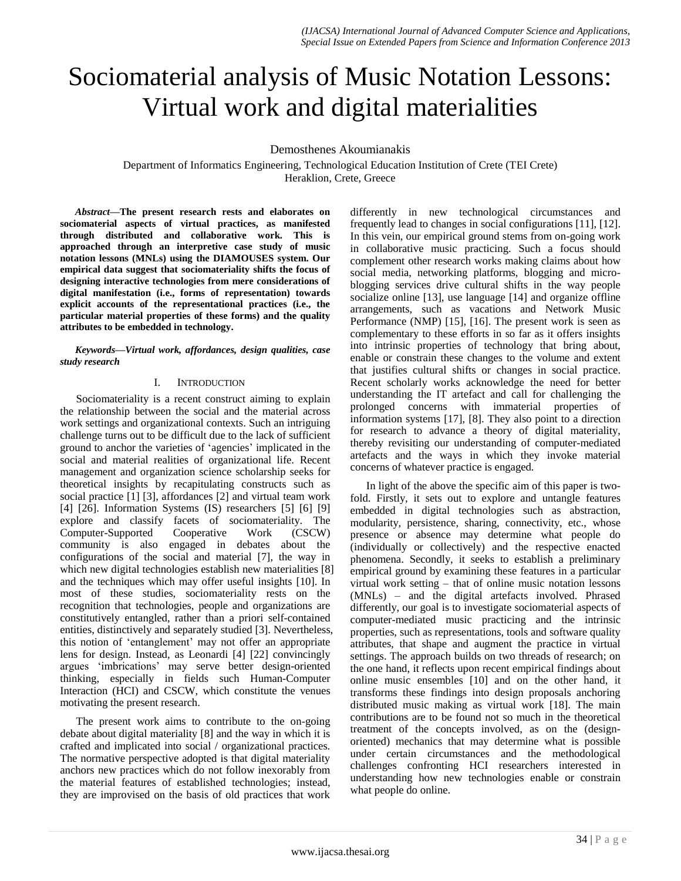# Sociomaterial analysis of Music Notation Lessons: Virtual work and digital materialities

Demosthenes Akoumianakis

Department of Informatics Engineering, Technological Education Institution of Crete (TEI Crete) Heraklion, Crete, Greece

*Abstract***—The present research rests and elaborates on sociomaterial aspects of virtual practices, as manifested through distributed and collaborative work. This is approached through an interpretive case study of music notation lessons (MNLs) using the DIAMOUSES system. Our empirical data suggest that sociomateriality shifts the focus of designing interactive technologies from mere considerations of digital manifestation (i.e., forms of representation) towards explicit accounts of the representational practices (i.e., the particular material properties of these forms) and the quality attributes to be embedded in technology.** 

*Keywords—Virtual work, affordances, design qualities, case study research*

#### I. INTRODUCTION

Sociomateriality is a recent construct aiming to explain the relationship between the social and the material across work settings and organizational contexts. Such an intriguing challenge turns out to be difficult due to the lack of sufficient ground to anchor the varieties of 'agencies' implicated in the social and material realities of organizational life. Recent management and organization science scholarship seeks for theoretical insights by recapitulating constructs such as social practice [\[1\]](#page-7-0) [\[3\],](#page-7-1) affordances [\[2\]](#page-7-2) and virtual team work [\[4\]](#page-7-3) [\[26\].](#page-8-0) Information Systems (IS) researchers [\[5\]](#page-7-4) [\[6\]](#page-7-5) [\[9\]](#page-7-6) explore and classify facets of sociomateriality. The Computer-Supported Cooperative Work (CSCW) community is also engaged in debates about the configurations of the social and material [\[7\],](#page-7-7) the way in which new digital technologies establish new materialities [\[8\]](#page-7-8) and the techniques which may offer useful insights [\[10\].](#page-7-9) In most of these studies, sociomateriality rests on the recognition that technologies, people and organizations are constitutively entangled, rather than a priori self-contained entities, distinctively and separately studied [\[3\].](#page-7-1) Nevertheless, this notion of 'entanglement' may not offer an appropriate lens for design. Instead, as Leonardi [\[4\]](#page-7-3) [\[22\]](#page-7-10) convincingly argues 'imbrications' may serve better design-oriented thinking, especially in fields such Human-Computer Interaction (HCI) and CSCW, which constitute the venues motivating the present research.

The present work aims to contribute to the on-going debate about digital materiality [\[8\]](#page-7-8) and the way in which it is crafted and implicated into social / organizational practices. The normative perspective adopted is that digital materiality anchors new practices which do not follow inexorably from the material features of established technologies; instead, they are improvised on the basis of old practices that work

differently in new technological circumstances and frequently lead to changes in social configuration[s \[11\],](#page-7-11) [\[12\].](#page-7-12) In this vein, our empirical ground stems from on-going work in collaborative music practicing. Such a focus should complement other research works making claims about how social media, networking platforms, blogging and microblogging services drive cultural shifts in the way people socialize online [\[13\],](#page-7-13) use language [\[14\]](#page-7-14) and organize offline arrangements, such as vacations and Network Music Performance (NMP) [\[15\],](#page-7-15) [\[16\].](#page-7-16) The present work is seen as complementary to these efforts in so far as it offers insights into intrinsic properties of technology that bring about, enable or constrain these changes to the volume and extent that justifies cultural shifts or changes in social practice. Recent scholarly works acknowledge the need for better understanding the IT artefact and call for challenging the prolonged concerns with immaterial properties of information systems [\[17\],](#page-7-17) [\[8\].](#page-7-8) They also point to a direction for research to advance a theory of digital materiality, thereby revisiting our understanding of computer-mediated artefacts and the ways in which they invoke material concerns of whatever practice is engaged.

In light of the above the specific aim of this paper is twofold. Firstly, it sets out to explore and untangle features embedded in digital technologies such as abstraction, modularity, persistence, sharing, connectivity, etc., whose presence or absence may determine what people do (individually or collectively) and the respective enacted phenomena. Secondly, it seeks to establish a preliminary empirical ground by examining these features in a particular virtual work setting – that of online music notation lessons (MNLs) – and the digital artefacts involved. Phrased differently, our goal is to investigate sociomaterial aspects of computer-mediated music practicing and the intrinsic properties, such as representations, tools and software quality attributes, that shape and augment the practice in virtual settings. The approach builds on two threads of research; on the one hand, it reflects upon recent empirical findings about online music ensembles [\[10\]](#page-7-9) and on the other hand, it transforms these findings into design proposals anchoring distributed music making as virtual work [\[18\].](#page-7-18) The main contributions are to be found not so much in the theoretical treatment of the concepts involved, as on the (designoriented) mechanics that may determine what is possible under certain circumstances and the methodological challenges confronting HCI researchers interested in understanding how new technologies enable or constrain what people do online.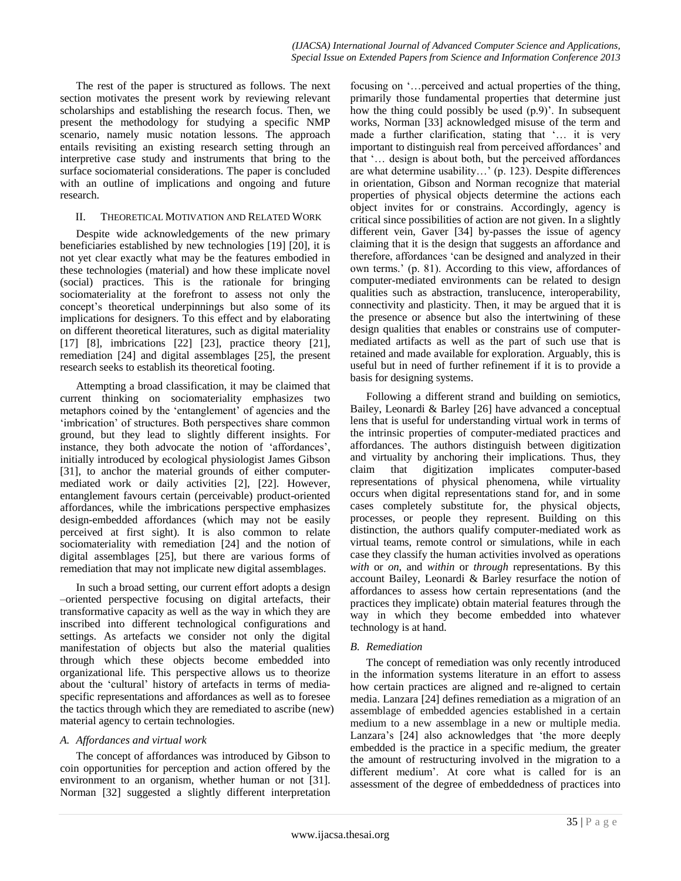The rest of the paper is structured as follows. The next section motivates the present work by reviewing relevant scholarships and establishing the research focus. Then, we present the methodology for studying a specific NMP scenario, namely music notation lessons. The approach entails revisiting an existing research setting through an interpretive case study and instruments that bring to the surface sociomaterial considerations. The paper is concluded with an outline of implications and ongoing and future research.

## II. THEORETICAL MOTIVATION AND RELATED WORK

Despite wide acknowledgements of the new primary beneficiaries established by new technologies [\[19\]](#page-7-19) [\[20\],](#page-7-20) it is not yet clear exactly what may be the features embodied in these technologies (material) and how these implicate novel (social) practices. This is the rationale for bringing sociomateriality at the forefront to assess not only the concept's theoretical underpinnings but also some of its implications for designers. To this effect and by elaborating on different theoretical literatures, such as digital materiality [\[17\]](#page-7-17) [\[8\],](#page-7-8) imbrications [\[22\]](#page-7-10) [\[23\],](#page-7-21) practice theory [\[21\],](#page-7-22) remediation [\[24\]](#page-8-1) and digital assemblages [\[25\],](#page-8-2) the present research seeks to establish its theoretical footing.

Attempting a broad classification, it may be claimed that current thinking on sociomateriality emphasizes two metaphors coined by the 'entanglement' of agencies and the 'imbrication' of structures. Both perspectives share common ground, but they lead to slightly different insights. For instance, they both advocate the notion of 'affordances', initially introduced by ecological physiologist James Gibson [\[31\],](#page-8-3) to anchor the material grounds of either computermediated work or daily activities [\[2\],](#page-7-2) [\[22\].](#page-7-10) However, entanglement favours certain (perceivable) product-oriented affordances, while the imbrications perspective emphasizes design-embedded affordances (which may not be easily perceived at first sight). It is also common to relate sociomateriality with remediation [\[24\]](#page-8-1) and the notion of digital assemblages [\[25\],](#page-8-2) but there are various forms of remediation that may not implicate new digital assemblages.

In such a broad setting, our current effort adopts a design –oriented perspective focusing on digital artefacts, their transformative capacity as well as the way in which they are inscribed into different technological configurations and settings. As artefacts we consider not only the digital manifestation of objects but also the material qualities through which these objects become embedded into organizational life. This perspective allows us to theorize about the 'cultural' history of artefacts in terms of mediaspecific representations and affordances as well as to foresee the tactics through which they are remediated to ascribe (new) material agency to certain technologies.

# *A. Affordances and virtual work*

The concept of affordances was introduced by Gibson to coin opportunities for perception and action offered by the environment to an organism, whether human or not [\[31\].](#page-8-3) Norman [\[32\]](#page-8-4) suggested a slightly different interpretation focusing on '…perceived and actual properties of the thing, primarily those fundamental properties that determine just how the thing could possibly be used (p.9)'. In subsequent works, Norman [\[33\]](#page-8-5) acknowledged misuse of the term and made a further clarification, stating that '… it is very important to distinguish real from perceived affordances' and that '… design is about both, but the perceived affordances are what determine usability…' (p. 123). Despite differences in orientation, Gibson and Norman recognize that material properties of physical objects determine the actions each object invites for or constrains. Accordingly, agency is critical since possibilities of action are not given. In a slightly different vein, Gaver [\[34\]](#page-8-6) by-passes the issue of agency claiming that it is the design that suggests an affordance and therefore, affordances 'can be designed and analyzed in their own terms.' (p. 81). According to this view, affordances of computer-mediated environments can be related to design qualities such as abstraction, translucence, interoperability, connectivity and plasticity. Then, it may be argued that it is the presence or absence but also the intertwining of these design qualities that enables or constrains use of computermediated artifacts as well as the part of such use that is retained and made available for exploration. Arguably, this is useful but in need of further refinement if it is to provide a basis for designing systems.

Following a different strand and building on semiotics, Bailey, Leonardi & Barley [\[26\]](#page-8-0) have advanced a conceptual lens that is useful for understanding virtual work in terms of the intrinsic properties of computer-mediated practices and affordances. The authors distinguish between digitization and virtuality by anchoring their implications. Thus, they claim that digitization implicates computer-based representations of physical phenomena, while virtuality occurs when digital representations stand for, and in some cases completely substitute for, the physical objects, processes, or people they represent. Building on this distinction, the authors qualify computer-mediated work as virtual teams, remote control or simulations, while in each case they classify the human activities involved as operations *with* or *on*, and *within* or *through* representations. By this account Bailey, Leonardi & Barley resurface the notion of affordances to assess how certain representations (and the practices they implicate) obtain material features through the way in which they become embedded into whatever technology is at hand.

# *B. Remediation*

The concept of remediation was only recently introduced in the information systems literature in an effort to assess how certain practices are aligned and re-aligned to certain media. Lanzar[a \[24\]](#page-8-1) defines remediation as a migration of an assemblage of embedded agencies established in a certain medium to a new assemblage in a new or multiple media. Lanzara's [\[24\]](#page-8-1) also acknowledges that 'the more deeply embedded is the practice in a specific medium, the greater the amount of restructuring involved in the migration to a different medium'. At core what is called for is an assessment of the degree of embeddedness of practices into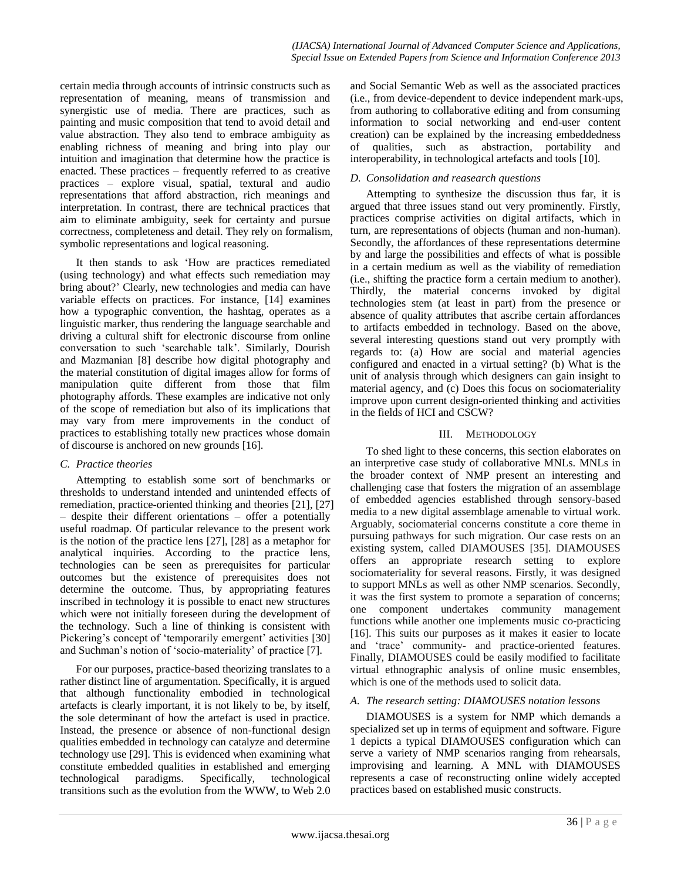certain media through accounts of intrinsic constructs such as representation of meaning, means of transmission and synergistic use of media. There are practices, such as painting and music composition that tend to avoid detail and value abstraction. They also tend to embrace ambiguity as enabling richness of meaning and bring into play our intuition and imagination that determine how the practice is enacted. These practices – frequently referred to as creative practices – explore visual, spatial, textural and audio representations that afford abstraction, rich meanings and interpretation. In contrast, there are technical practices that aim to eliminate ambiguity, seek for certainty and pursue correctness, completeness and detail. They rely on formalism, symbolic representations and logical reasoning.

It then stands to ask 'How are practices remediated (using technology) and what effects such remediation may bring about?' Clearly, new technologies and media can have variable effects on practices. For instance, [\[14\]](#page-7-14) examines how a typographic convention, the hashtag, operates as a linguistic marker, thus rendering the language searchable and driving a cultural shift for electronic discourse from online conversation to such 'searchable talk'. Similarly, Dourish and Mazmanian [\[8\]](#page-7-8) describe how digital photography and the material constitution of digital images allow for forms of manipulation quite different from those that film photography affords. These examples are indicative not only of the scope of remediation but also of its implications that may vary from mere improvements in the conduct of practices to establishing totally new practices whose domain of discourse is anchored on new grounds [\[16\].](#page-7-16)

# *C. Practice theories*

Attempting to establish some sort of benchmarks or thresholds to understand intended and unintended effects of remediation, practice-oriented thinking and theories [\[21\],](#page-7-22) [\[27\]](#page-8-7) – despite their different orientations – offer a potentially useful roadmap. Of particular relevance to the present work is the notion of the practice lens [\[27\],](#page-8-7) [\[28\]](#page-8-8) as a metaphor for analytical inquiries. According to the practice lens, technologies can be seen as prerequisites for particular outcomes but the existence of prerequisites does not determine the outcome. Thus, by appropriating features inscribed in technology it is possible to enact new structures which were not initially foreseen during the development of the technology. Such a line of thinking is consistent with Pickering's concept of 'temporarily emergent' activities [\[30\]](#page-8-9) and Suchman's notion of 'socio-materiality' of practice [\[7\].](#page-7-7)

For our purposes, practice-based theorizing translates to a rather distinct line of argumentation. Specifically, it is argued that although functionality embodied in technological artefacts is clearly important, it is not likely to be, by itself, the sole determinant of how the artefact is used in practice. Instead, the presence or absence of non-functional design qualities embedded in technology can catalyze and determine technology use [\[29\].](#page-8-10) This is evidenced when examining what constitute embedded qualities in established and emerging technological paradigms. Specifically, technological transitions such as the evolution from the WWW, to Web 2.0

and Social Semantic Web as well as the associated practices (i.e., from device-dependent to device independent mark-ups, from authoring to collaborative editing and from consuming information to social networking and end-user content creation) can be explained by the increasing embeddedness of qualities, such as abstraction, portability and interoperability, in technological artefacts and tools [\[10\].](#page-7-9)

# <span id="page-2-0"></span>*D. Consolidation and reasearch questions*

Attempting to synthesize the discussion thus far, it is argued that three issues stand out very prominently. Firstly, practices comprise activities on digital artifacts, which in turn, are representations of objects (human and non-human). Secondly, the affordances of these representations determine by and large the possibilities and effects of what is possible in a certain medium as well as the viability of remediation (i.e., shifting the practice form a certain medium to another). Thirdly, the material concerns invoked by digital technologies stem (at least in part) from the presence or absence of quality attributes that ascribe certain affordances to artifacts embedded in technology. Based on the above, several interesting questions stand out very promptly with regards to: (a) How are social and material agencies configured and enacted in a virtual setting? (b) What is the unit of analysis through which designers can gain insight to material agency, and (c) Does this focus on sociomateriality improve upon current design-oriented thinking and activities in the fields of HCI and CSCW?

# III. METHODOLOGY

To shed light to these concerns, this section elaborates on an interpretive case study of collaborative MNLs. MNLs in the broader context of NMP present an interesting and challenging case that fosters the migration of an assemblage of embedded agencies established through sensory-based media to a new digital assemblage amenable to virtual work. Arguably, sociomaterial concerns constitute a core theme in pursuing pathways for such migration. Our case rests on an existing system, called DIAMOUSES [\[35\].](#page-8-11) DIAMOUSES offers an appropriate research setting to explore sociomateriality for several reasons. Firstly, it was designed to support MNLs as well as other NMP scenarios. Secondly, it was the first system to promote a separation of concerns; one component undertakes community management functions while another one implements music co-practicing [\[16\].](#page-7-16) This suits our purposes as it makes it easier to locate and 'trace' community- and practice-oriented features. Finally, DIAMOUSES could be easily modified to facilitate virtual ethnographic analysis of online music ensembles, which is one of the methods used to solicit data.

# *A. The research setting: DIAMOUSES notation lessons*

DIAMOUSES is a system for NMP which demands a specialized set up in terms of equipment and software. [Figure](#page-3-0)  [1](#page-3-0) depicts a typical DIAMOUSES configuration which can serve a variety of NMP scenarios ranging from rehearsals, improvising and learning. A MNL with DIAMOUSES represents a case of reconstructing online widely accepted practices based on established music constructs.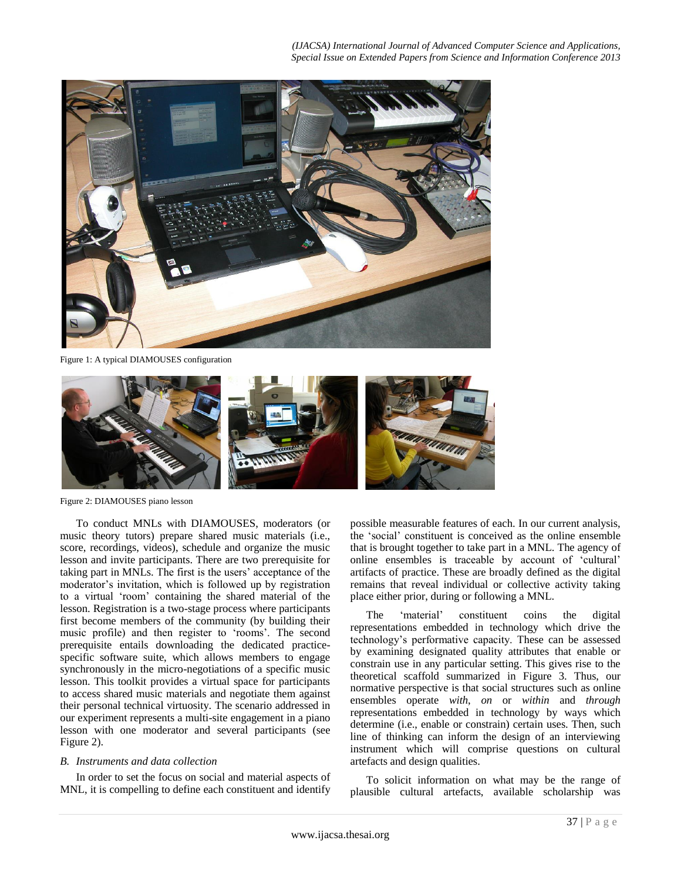

Figure 1: A typical DIAMOUSES configuration

<span id="page-3-0"></span>

Figure 2: DIAMOUSES piano lesson

<span id="page-3-1"></span>To conduct MNLs with DIAMOUSES, moderators (or music theory tutors) prepare shared music materials (i.e., score, recordings, videos), schedule and organize the music lesson and invite participants. There are two prerequisite for taking part in MNLs. The first is the users' acceptance of the moderator's invitation, which is followed up by registration to a virtual 'room' containing the shared material of the lesson. Registration is a two-stage process where participants first become members of the community (by building their music profile) and then register to 'rooms'. The second prerequisite entails downloading the dedicated practicespecific software suite, which allows members to engage synchronously in the micro-negotiations of a specific music lesson. This toolkit provides a virtual space for participants to access shared music materials and negotiate them against their personal technical virtuosity. The scenario addressed in our experiment represents a multi-site engagement in a piano lesson with one moderator and several participants (see [Figure 2\)](#page-3-1).

## *B. Instruments and data collection*

In order to set the focus on social and material aspects of MNL, it is compelling to define each constituent and identify

possible measurable features of each. In our current analysis, the 'social' constituent is conceived as the online ensemble that is brought together to take part in a MNL. The agency of online ensembles is traceable by account of 'cultural' artifacts of practice. These are broadly defined as the digital remains that reveal individual or collective activity taking place either prior, during or following a MNL.

The 'material' constituent coins the digital representations embedded in technology which drive the technology's performative capacity. These can be assessed by examining designated quality attributes that enable or constrain use in any particular setting. This gives rise to the theoretical scaffold summarized in [Figure 3.](#page-4-0) Thus, our normative perspective is that social structures such as online ensembles operate *with*, *on* or *within* and *through* representations embedded in technology by ways which determine (i.e., enable or constrain) certain uses. Then, such line of thinking can inform the design of an interviewing instrument which will comprise questions on cultural artefacts and design qualities.

To solicit information on what may be the range of plausible cultural artefacts, available scholarship was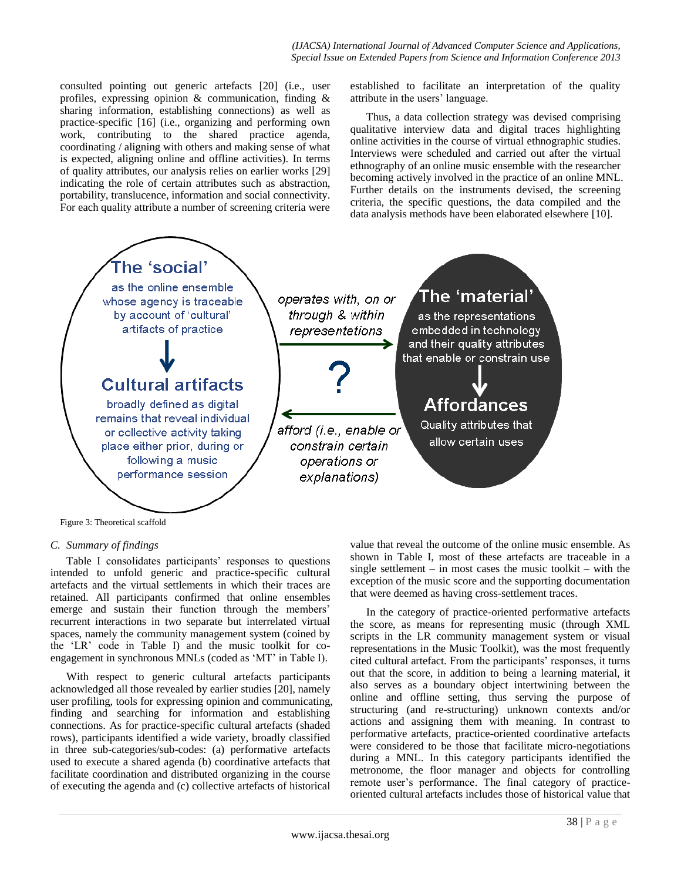consulted pointing out generic artefacts [\[20\]](#page-7-20) (i.e., user profiles, expressing opinion & communication, finding & sharing information, establishing connections) as well as practice-specific [\[16\]](#page-7-16) (i.e., organizing and performing own work, contributing to the shared practice agenda, coordinating / aligning with others and making sense of what is expected, aligning online and offline activities). In terms of quality attributes, our analysis relies on earlier works [\[29\]](#page-8-10) indicating the role of certain attributes such as abstraction, portability, translucence, information and social connectivity. For each quality attribute a number of screening criteria were

established to facilitate an interpretation of the quality attribute in the users' language.

Thus, a data collection strategy was devised comprising qualitative interview data and digital traces highlighting online activities in the course of virtual ethnographic studies. Interviews were scheduled and carried out after the virtual ethnography of an online music ensemble with the researcher becoming actively involved in the practice of an online MNL. Further details on the instruments devised, the screening criteria, the specific questions, the data compiled and the data analysis methods have been elaborated elsewhere [\[10\].](#page-7-9)



<span id="page-4-0"></span>Figure 3: Theoretical scaffold

## *C. Summary of findings*

Table I consolidates participants' responses to questions intended to unfold generic and practice-specific cultural artefacts and the virtual settlements in which their traces are retained. All participants confirmed that online ensembles emerge and sustain their function through the members' recurrent interactions in two separate but interrelated virtual spaces, namely the community management system (coined by the 'LR' code in Table I) and the music toolkit for coengagement in synchronous MNLs (coded as 'MT' in Table I).

With respect to generic cultural artefacts participants acknowledged all those revealed by earlier studies [\[20\],](#page-7-20) namely user profiling, tools for expressing opinion and communicating, finding and searching for information and establishing connections. As for practice-specific cultural artefacts (shaded rows), participants identified a wide variety, broadly classified in three sub-categories/sub-codes: (a) performative artefacts used to execute a shared agenda (b) coordinative artefacts that facilitate coordination and distributed organizing in the course of executing the agenda and (c) collective artefacts of historical

value that reveal the outcome of the online music ensemble. As shown in Table I, most of these artefacts are traceable in a single settlement – in most cases the music toolkit – with the exception of the music score and the supporting documentation that were deemed as having cross-settlement traces.

In the category of practice-oriented performative artefacts the score, as means for representing music (through XML scripts in the LR community management system or visual representations in the Music Toolkit), was the most frequently cited cultural artefact. From the participants' responses, it turns out that the score, in addition to being a learning material, it also serves as a boundary object intertwining between the online and offline setting, thus serving the purpose of structuring (and re-structuring) unknown contexts and/or actions and assigning them with meaning. In contrast to performative artefacts, practice-oriented coordinative artefacts were considered to be those that facilitate micro-negotiations during a MNL. In this category participants identified the metronome, the floor manager and objects for controlling remote user's performance. The final category of practiceoriented cultural artefacts includes those of historical value that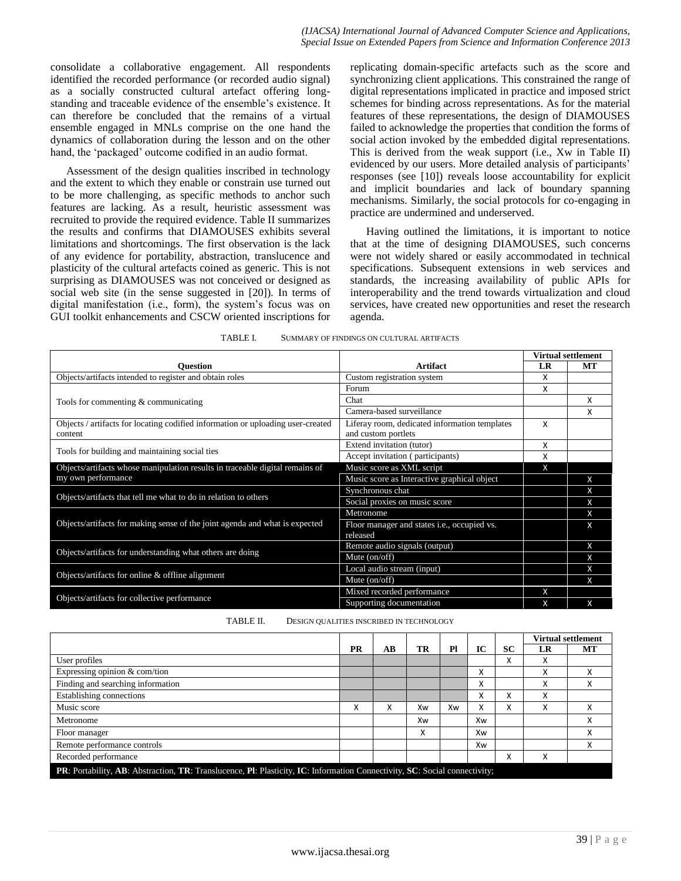consolidate a collaborative engagement. All respondents identified the recorded performance (or recorded audio signal) as a socially constructed cultural artefact offering longstanding and traceable evidence of the ensemble's existence. It can therefore be concluded that the remains of a virtual ensemble engaged in MNLs comprise on the one hand the dynamics of collaboration during the lesson and on the other hand, the 'packaged' outcome codified in an audio format.

Assessment of the design qualities inscribed in technology and the extent to which they enable or constrain use turned out to be more challenging, as specific methods to anchor such features are lacking. As a result, heuristic assessment was recruited to provide the required evidence. Table II summarizes the results and confirms that DIAMOUSES exhibits several limitations and shortcomings. The first observation is the lack of any evidence for portability, abstraction, translucence and plasticity of the cultural artefacts coined as generic. This is not surprising as DIAMOUSES was not conceived or designed as social web site (in the sense suggested in [\[20\]\)](#page-7-20). In terms of digital manifestation (i.e., form), the system's focus was on GUI toolkit enhancements and CSCW oriented inscriptions for

replicating domain-specific artefacts such as the score and synchronizing client applications. This constrained the range of digital representations implicated in practice and imposed strict schemes for binding across representations. As for the material features of these representations, the design of DIAMOUSES failed to acknowledge the properties that condition the forms of social action invoked by the embedded digital representations. This is derived from the weak support (i.e., Xw in Table II) evidenced by our users. More detailed analysis of participants' responses (see [\[10\]\)](#page-7-9) reveals loose accountability for explicit and implicit boundaries and lack of boundary spanning mechanisms. Similarly, the social protocols for co-engaging in practice are undermined and underserved.

Having outlined the limitations, it is important to notice that at the time of designing DIAMOUSES, such concerns were not widely shared or easily accommodated in technical specifications. Subsequent extensions in web services and standards, the increasing availability of public APIs for interoperability and the trend towards virtualization and cloud services, have created new opportunities and reset the research agenda.

|                                                                                 |                                                     | <b>Virtual settlement</b> |    |  |
|---------------------------------------------------------------------------------|-----------------------------------------------------|---------------------------|----|--|
| <b>Ouestion</b>                                                                 | <b>Artifact</b>                                     | LR                        | MТ |  |
| Objects/artifacts intended to register and obtain roles                         | Custom registration system                          | x                         |    |  |
|                                                                                 | Forum                                               | X                         |    |  |
| Tools for commenting & communicating                                            | Chat                                                |                           | x  |  |
|                                                                                 | Camera-based surveillance                           |                           | x  |  |
| Objects / artifacts for locating codified information or uploading user-created | Liferay room, dedicated information templates       | X                         |    |  |
| content                                                                         | and custom portlets                                 |                           |    |  |
|                                                                                 | Extend invitation (tutor)                           | Χ                         |    |  |
| Tools for building and maintaining social ties                                  | Accept invitation (participants)                    | x                         |    |  |
| Objects/artifacts whose manipulation results in traceable digital remains of    | Music score as XML script                           | X                         |    |  |
| my own performance                                                              | Music score as Interactive graphical object         |                           | X  |  |
|                                                                                 | Synchronous chat                                    |                           | x  |  |
| Objects/artifacts that tell me what to do in relation to others                 | Social proxies on music score                       |                           | X  |  |
|                                                                                 | Metronome                                           |                           | X  |  |
| Objects/artifacts for making sense of the joint agenda and what is expected     | Floor manager and states <i>i.e.</i> , occupied vs. |                           | X  |  |
|                                                                                 | released                                            |                           |    |  |
|                                                                                 | Remote audio signals (output)                       |                           | X  |  |
| Objects/artifacts for understanding what others are doing                       | Mute $(on/off)$                                     |                           | X  |  |
|                                                                                 | Local audio stream (input)                          |                           | X  |  |
| Objects/artifacts for online & offline alignment                                | Mute $(on/off)$                                     |                           | x  |  |
|                                                                                 | Mixed recorded performance                          | X                         |    |  |
| Objects/artifacts for collective performance                                    | Supporting documentation                            | X                         | X  |  |

| TABLE I. | SUMMARY OF FINDINGS ON CULTURAL ARTIFACTS |
|----------|-------------------------------------------|
|          |                                           |

TABLE II. DESIGN QUALITIES INSCRIBED IN TECHNOLOGY

|                                                                                                                            |                           |        |    |    |    |             | <b>Virtual settlement</b> |    |  |
|----------------------------------------------------------------------------------------------------------------------------|---------------------------|--------|----|----|----|-------------|---------------------------|----|--|
|                                                                                                                            | <b>PR</b>                 | AВ     | TR | Pl | IС | <b>SC</b>   | LR                        | MT |  |
| User profiles                                                                                                              |                           |        |    |    |    | v<br>$\sim$ | x                         |    |  |
| Expressing opinion & com/tion                                                                                              |                           |        |    |    | x  |             | x                         | x  |  |
| Finding and searching information                                                                                          |                           |        |    |    | Χ  |             | X                         | x  |  |
| Establishing connections                                                                                                   |                           |        |    |    | Χ  | v<br>$\sim$ | Χ                         |    |  |
| Music score                                                                                                                | $\checkmark$<br>$\lambda$ | v<br>^ | Xw | Xw | X  | v<br>$\sim$ | x                         | x  |  |
| Metronome                                                                                                                  |                           |        | Xw |    | Xw |             |                           | x  |  |
| Floor manager                                                                                                              |                           |        | x  |    | Xw |             |                           | X  |  |
| Remote performance controls                                                                                                |                           |        |    |    | Xw |             |                           | X  |  |
| Recorded performance                                                                                                       |                           |        |    |    |    | ∧           | x                         |    |  |
| PR: Portability, AB: Abstraction, TR: Translucence, Pl: Plasticity, IC: Information Connectivity, SC: Social connectivity; |                           |        |    |    |    |             |                           |    |  |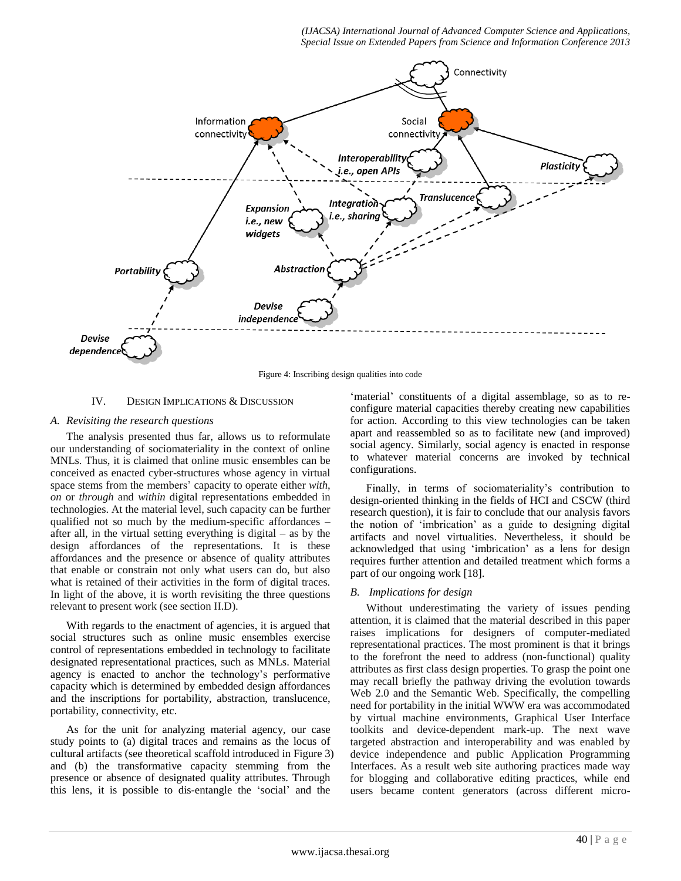*(IJACSA) International Journal of Advanced Computer Science and Applications, Special Issue on Extended Papers from Science and Information Conference 2013*



Figure 4: Inscribing design qualities into code

#### IV. DESIGN IMPLICATIONS & DISCUSSION

#### <span id="page-6-0"></span>*A. Revisiting the research questions*

The analysis presented thus far, allows us to reformulate our understanding of sociomateriality in the context of online MNLs. Thus, it is claimed that online music ensembles can be conceived as enacted cyber-structures whose agency in virtual space stems from the members' capacity to operate either *with*, *on* or *through* and *within* digital representations embedded in technologies. At the material level, such capacity can be further qualified not so much by the medium-specific affordances – after all, in the virtual setting everything is digital – as by the design affordances of the representations. It is these affordances and the presence or absence of quality attributes that enable or constrain not only what users can do, but also what is retained of their activities in the form of digital traces. In light of the above, it is worth revisiting the three questions relevant to present work (see sectio[n II.D\)](#page-2-0).

With regards to the enactment of agencies, it is argued that social structures such as online music ensembles exercise control of representations embedded in technology to facilitate designated representational practices, such as MNLs. Material agency is enacted to anchor the technology's performative capacity which is determined by embedded design affordances and the inscriptions for portability, abstraction, translucence, portability, connectivity, etc.

As for the unit for analyzing material agency, our case study points to (a) digital traces and remains as the locus of cultural artifacts (see theoretical scaffold introduced in [Figure 3\)](#page-4-0) and (b) the transformative capacity stemming from the presence or absence of designated quality attributes. Through this lens, it is possible to dis-entangle the 'social' and the

'material' constituents of a digital assemblage, so as to reconfigure material capacities thereby creating new capabilities for action. According to this view technologies can be taken apart and reassembled so as to facilitate new (and improved) social agency. Similarly, social agency is enacted in response to whatever material concerns are invoked by technical configurations.

Finally, in terms of sociomateriality's contribution to design-oriented thinking in the fields of HCI and CSCW (third research question), it is fair to conclude that our analysis favors the notion of 'imbrication' as a guide to designing digital artifacts and novel virtualities. Nevertheless, it should be acknowledged that using 'imbrication' as a lens for design requires further attention and detailed treatment which forms a part of our ongoing work [\[18\].](#page-7-18)

## *B. Implications for design*

Without underestimating the variety of issues pending attention, it is claimed that the material described in this paper raises implications for designers of computer-mediated representational practices. The most prominent is that it brings to the forefront the need to address (non-functional) quality attributes as first class design properties. To grasp the point one may recall briefly the pathway driving the evolution towards Web 2.0 and the Semantic Web. Specifically, the compelling need for portability in the initial WWW era was accommodated by virtual machine environments, Graphical User Interface toolkits and device-dependent mark-up. The next wave targeted abstraction and interoperability and was enabled by device independence and public Application Programming Interfaces. As a result web site authoring practices made way for blogging and collaborative editing practices, while end users became content generators (across different micro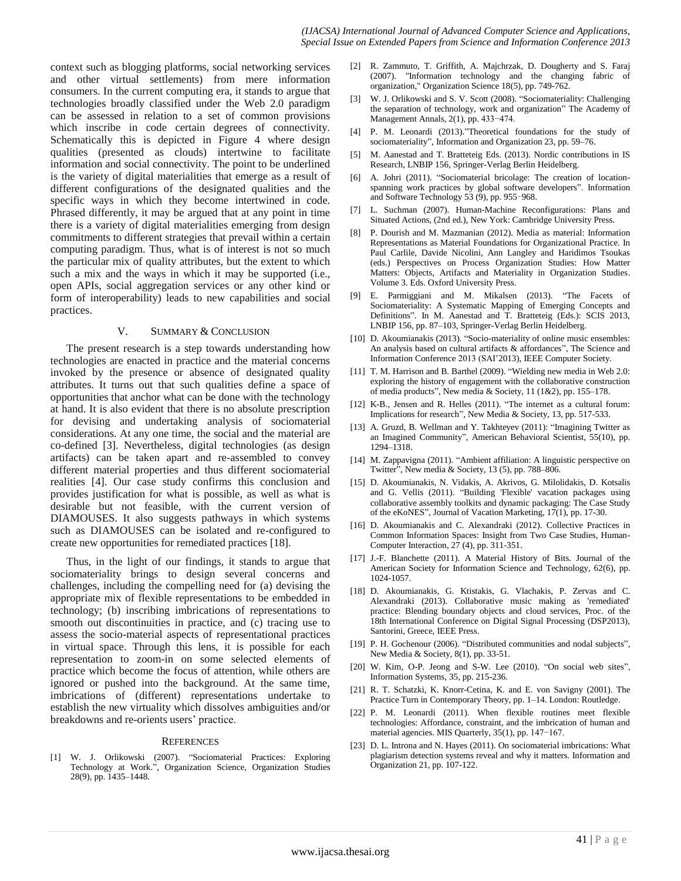context such as blogging platforms, social networking services and other virtual settlements) from mere information consumers. In the current computing era, it stands to argue that technologies broadly classified under the Web 2.0 paradigm can be assessed in relation to a set of common provisions which inscribe in code certain degrees of connectivity. Schematically this is depicted in [Figure 4](#page-6-0) where design qualities (presented as clouds) intertwine to facilitate information and social connectivity. The point to be underlined is the variety of digital materialities that emerge as a result of different configurations of the designated qualities and the specific ways in which they become intertwined in code. Phrased differently, it may be argued that at any point in time there is a variety of digital materialities emerging from design commitments to different strategies that prevail within a certain computing paradigm. Thus, what is of interest is not so much the particular mix of quality attributes, but the extent to which such a mix and the ways in which it may be supported (i.e., open APIs, social aggregation services or any other kind or form of interoperability) leads to new capabilities and social practices.

#### V. SUMMARY & CONCLUSION

The present research is a step towards understanding how technologies are enacted in practice and the material concerns invoked by the presence or absence of designated quality attributes. It turns out that such qualities define a space of opportunities that anchor what can be done with the technology at hand. It is also evident that there is no absolute prescription for devising and undertaking analysis of sociomaterial considerations. At any one time, the social and the material are co-defined [\[3\].](#page-7-1) Nevertheless, digital technologies (as design artifacts) can be taken apart and re-assembled to convey different material properties and thus different sociomaterial realities [\[4\].](#page-7-3) Our case study confirms this conclusion and provides justification for what is possible, as well as what is desirable but not feasible, with the current version of DIAMOUSES. It also suggests pathways in which systems such as DIAMOUSES can be isolated and re-configured to create new opportunities for remediated practice[s \[18\].](#page-7-18)

Thus, in the light of our findings, it stands to argue that sociomateriality brings to design several concerns and challenges, including the compelling need for (a) devising the appropriate mix of flexible representations to be embedded in technology; (b) inscribing imbrications of representations to smooth out discontinuities in practice, and (c) tracing use to assess the socio-material aspects of representational practices in virtual space. Through this lens, it is possible for each representation to zoom-in on some selected elements of practice which become the focus of attention, while others are ignored or pushed into the background. At the same time, imbrications of (different) representations undertake to establish the new virtuality which dissolves ambiguities and/or breakdowns and re-orients users' practice.

#### **REFERENCES**

<span id="page-7-0"></span>[1] W. J. Orlikowski (2007). "Sociomaterial Practices: Exploring Technology at Work.", Organization Science, Organization Studies 28(9), pp. 1435–1448.

- <span id="page-7-2"></span>[2] R. Zammuto, T. Griffith, A. Majchrzak, D. Dougherty and S. Faraj (2007). "Information technology and the changing fabric of organization," Organization Science 18(5), pp. 749-762.
- <span id="page-7-1"></span>[3] W. J. Orlikowski and S. V. Scott (2008). "Sociomateriality: Challenging the separation of technology, work and organization" The Academy of Management Annals, 2(1), pp. 433−474.
- <span id="page-7-3"></span>[4] P. M. Leonardi (2013)."Theoretical foundations for the study of sociomateriality", Information and Organization 23, pp. 59–76.
- <span id="page-7-4"></span>[5] M. Aanestad and T. Bratteteig Eds. (2013). Nordic contributions in IS Research, LNBIP 156, Springer-Verlag Berlin Heidelberg.
- <span id="page-7-5"></span>[6] A. Johri (2011). "Sociomaterial bricolage: The creation of locationspanning work practices by global software developers". Information and Software Technology 53 (9), pp. 955–968.
- <span id="page-7-7"></span>[7] L. Suchman (2007). Human-Machine Reconfigurations: Plans and Situated Actions, (2nd ed.), New York: Cambridge University Press.
- <span id="page-7-8"></span>[8] P. Dourish and M. Mazmanian (2012). Media as material: Information Representations as Material Foundations for Organizational Practice. In Paul Carlile, Davide Nicolini, Ann Langley and Haridimos Tsoukas (eds.) Perspectives on Process Organization Studies: How Matter Matters: Objects, Artifacts and Materiality in Organization Studies. Volume 3. Eds. Oxford University Press.
- <span id="page-7-6"></span>[9] E. Parmiggiani and M. Mikalsen (2013). "The Facets of Sociomateriality: A Systematic Mapping of Emerging Concepts and Definitions". In M. Aanestad and T. Bratteteig (Eds.): SCIS 2013, LNBIP 156, pp. 87–103, Springer-Verlag Berlin Heidelberg.
- <span id="page-7-9"></span>[10] D. Akoumianakis (2013). "Socio-materiality of online music ensembles: An analysis based on cultural artifacts & affordances", The Science and Information Conference 2013 (SAI'2013), IEEE Computer Society.
- <span id="page-7-11"></span>[11] T. M. Harrison and B. Barthel (2009). "Wielding new media in Web 2.0: exploring the history of engagement with the collaborative construction of media products", New media & Society, 11 (1&2), pp. 155–178.
- <span id="page-7-12"></span>[12] K-B., Jensen and R. Helles (2011). "The internet as a cultural forum: Implications for research", New Media & Society, 13, pp. 517-533.
- <span id="page-7-13"></span>[13] A. Gruzd, B. Wellman and Y. Takhteyev (2011): "Imagining Twitter as an Imagined Community", American Behavioral Scientist, 55(10), pp. 1294–1318.
- <span id="page-7-14"></span>[14] M. Zappavigna (2011). "Ambient affiliation: A linguistic perspective on Twitter", New media & Society, 13 (5), pp. 788-806.
- <span id="page-7-15"></span>[15] D. Akoumianakis, N. Vidakis, A. Akrivos, G. Milolidakis, D. Kotsalis and G. Vellis (2011). "Building 'Flexible' vacation packages using collaborative assembly toolkits and dynamic packaging: The Case Study of the eKoNES", Journal of Vacation Marketing, 17(1), pp. 17-30.
- <span id="page-7-16"></span>[16] D. Akoumianakis and C. Alexandraki (2012). Collective Practices in Common Information Spaces: Insight from Two Case Studies, Human-Computer Interaction, 27 (4), pp. 311-351.
- <span id="page-7-17"></span>[17] J.-F. Blanchette (2011). A Material History of Bits. Journal of the American Society for Information Science and Technology, 62(6), pp. 1024-1057.
- <span id="page-7-18"></span>[18] D. Akoumianakis, G. Ktistakis, G. Vlachakis, P. Zervas and C. Alexandraki (2013). Collaborative music making as 'remediated' practice: Blending boundary objects and cloud services, Proc. of the 18th International Conference on Digital Signal Processing (DSP2013), Santorini, Greece, IEEE Press.
- <span id="page-7-19"></span>[19] P. H. Gochenour (2006). "Distributed communities and nodal subjects", New Media & Society, 8(1), pp. 33-51.
- <span id="page-7-20"></span>[20] W. Kim, O-P. Jeong and S-W. Lee (2010). "On social web sites", Information Systems, 35, pp. 215-236.
- <span id="page-7-22"></span>[21] R. T. Schatzki, K. Knorr-Cetina, K. and E. von Savigny (2001). The Practice Turn in Contemporary Theory, pp. 1–14. London: Routledge.
- <span id="page-7-10"></span>[22] P. M. Leonardi (2011). When flexible routines meet flexible technologies: Affordance, constraint, and the imbrication of human and material agencies. MIS Quarterly, 35(1), pp. 147−167.
- <span id="page-7-21"></span>[23] D. L. Introna and N. Hayes (2011). On sociomaterial imbrications: What plagiarism detection systems reveal and why it matters. Information and Organization 21, pp. 107-122.